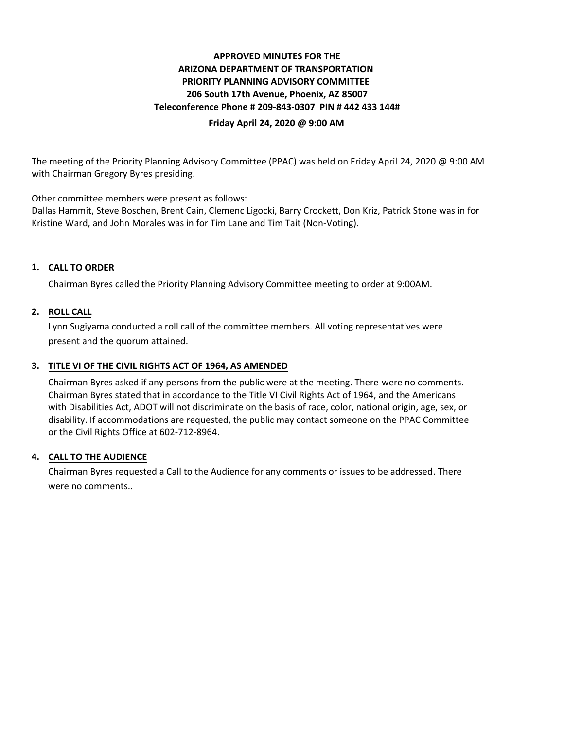# **APPROVED MINUTES FOR THE ARIZONA DEPARTMENT OF TRANSPORTATION PRIORITY PLANNING ADVISORY COMMITTEE 206 South 17th Avenue, Phoenix, AZ 85007 Teleconference Phone # 209-843-0307 PIN # 442 433 144#**

### **Friday April 24, 2020 @ 9:00 AM**

The meeting of the Priority Planning Advisory Committee (PPAC) was held on Friday April 24, 2020 @ 9:00 AM with Chairman Gregory Byres presiding.

Other committee members were present as follows:

Dallas Hammit, Steve Boschen, Brent Cain, Clemenc Ligocki, Barry Crockett, Don Kriz, Patrick Stone was in for Kristine Ward, and John Morales was in for Tim Lane and Tim Tait (Non-Voting).

## **CALL TO ORDER 1.**

Chairman Byres called the Priority Planning Advisory Committee meeting to order at 9:00AM.

### **ROLL CALL 2.**

Lynn Sugiyama conducted a roll call of the committee members. All voting representatives were present and the quorum attained.

# **TITLE VI OF THE CIVIL RIGHTS ACT OF 1964, AS AMENDED 3.**

Chairman Byres asked if any persons from the public were at the meeting. There were no comments. Chairman Byres stated that in accordance to the Title VI Civil Rights Act of 1964, and the Americans with Disabilities Act, ADOT will not discriminate on the basis of race, color, national origin, age, sex, or disability. If accommodations are requested, the public may contact someone on the PPAC Committee or the Civil Rights Office at 602-712-8964.

### **CALL TO THE AUDIENCE 4.**

Chairman Byres requested a Call to the Audience for any comments or issues to be addressed. There were no comments..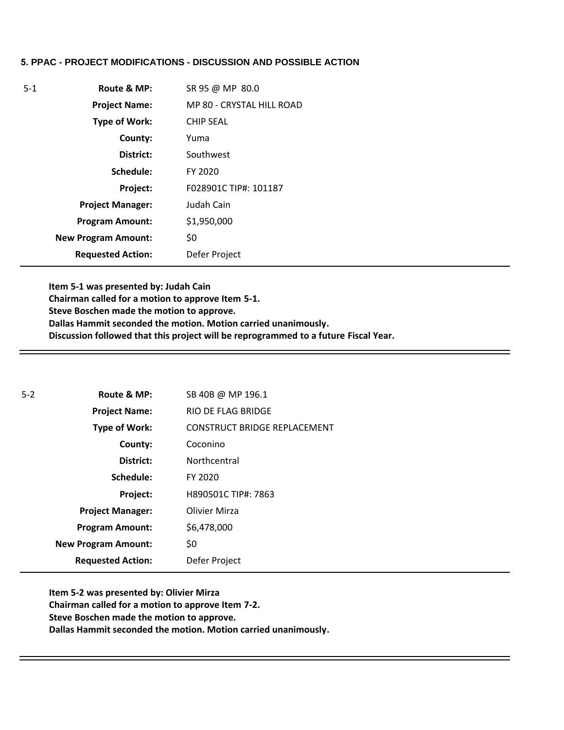### **5. PPAC - PROJECT MODIFICATIONS - DISCUSSION AND POSSIBLE ACTION**

| $5-1$ | Route & MP:                | SR 95 @ MP 80.0           |
|-------|----------------------------|---------------------------|
|       | <b>Project Name:</b>       | MP 80 - CRYSTAL HILL ROAD |
|       | <b>Type of Work:</b>       | <b>CHIP SEAL</b>          |
|       | County:                    | Yuma                      |
|       | District:                  | Southwest                 |
|       | Schedule:                  | FY 2020                   |
|       | Project:                   | F028901C TIP#: 101187     |
|       | <b>Project Manager:</b>    | Judah Cain                |
|       | <b>Program Amount:</b>     | \$1,950,000               |
|       | <b>New Program Amount:</b> | \$0                       |
|       | <b>Requested Action:</b>   | Defer Project             |

**Item 5-1 was presented by: Judah Cain Chairman called for a motion to approve Item 5-1. Steve Boschen made the motion to approve. Dallas Hammit seconded the motion. Motion carried unanimously. Discussion followed that this project will be reprogrammed to a future Fiscal Year.** 

| $5-2$ | Route & MP:                | SB 40B @ MP 196.1            |
|-------|----------------------------|------------------------------|
|       | <b>Project Name:</b>       | <b>RIO DE FLAG BRIDGE</b>    |
|       | <b>Type of Work:</b>       | CONSTRUCT BRIDGE REPLACEMENT |
|       | County:                    | Coconino                     |
|       | District:                  | Northcentral                 |
|       | Schedule:                  | FY 2020                      |
|       | Project:                   | H890501C TIP#: 7863          |
|       | <b>Project Manager:</b>    | <b>Olivier Mirza</b>         |
|       | <b>Program Amount:</b>     | \$6,478,000                  |
|       | <b>New Program Amount:</b> | \$0                          |
|       | <b>Requested Action:</b>   | Defer Project                |

**Item 5-2 was presented by: Olivier Mirza Chairman called for a motion to approve Item 7-2. Steve Boschen made the motion to approve. Dallas Hammit seconded the motion. Motion carried unanimously.**